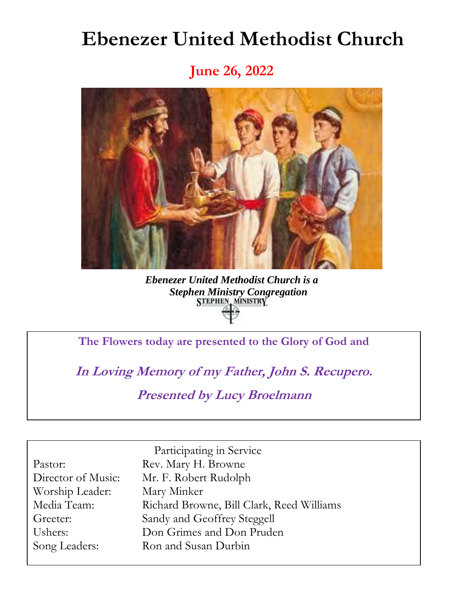# **Ebenezer United Methodist Church**

**June 26, 2022**



*Ebenezer United Methodist Church is a Stephen Ministry Congregation*

**The Flowers today are presented to the Glory of God and**

**In Loving Memory of my Father, John S. Recupero. Presented by Lucy Broelmann**

Worship Leader: Mary Minker

Participating in Service Pastor: Rev. Mary H. Browne Director of Music: Mr. F. Robert Rudolph Media Team: Richard Browne, Bill Clark, Reed Williams Greeter: Sandy and Geoffrey Steggell Ushers: Don Grimes and Don Pruden Song Leaders: Ron and Susan Durbin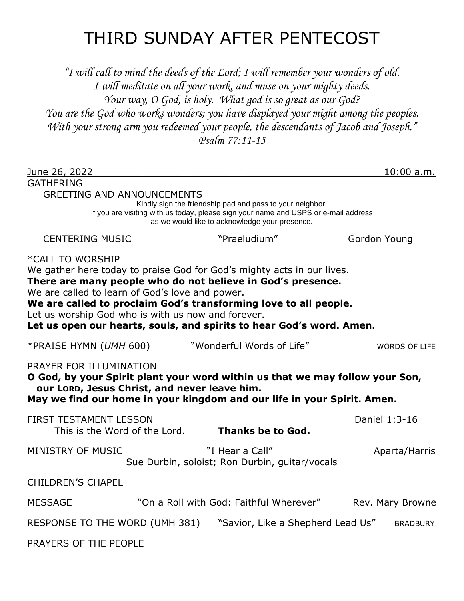# THIRD SUNDAY AFTER PENTECOST

*"I will call to mind the deeds of the Lord; I will remember your wonders of old. I will meditate on all your work, and muse on your mighty deeds. Your way, O God, is holy. What god is so great as our God? You are the God who works wonders; you have displayed your might among the peoples. With your strong arm you redeemed your people, the descendants of Jacob and Joseph." Psalm 77:11-15*

| June 26, 2022                                                                                                                                                                                                                                                                                                                                                                                                  |                                                                                                                                                                                                    | 10:00 a.m.       |  |  |
|----------------------------------------------------------------------------------------------------------------------------------------------------------------------------------------------------------------------------------------------------------------------------------------------------------------------------------------------------------------------------------------------------------------|----------------------------------------------------------------------------------------------------------------------------------------------------------------------------------------------------|------------------|--|--|
| <b>GATHERING</b><br><b>GREETING AND ANNOUNCEMENTS</b>                                                                                                                                                                                                                                                                                                                                                          |                                                                                                                                                                                                    |                  |  |  |
|                                                                                                                                                                                                                                                                                                                                                                                                                | Kindly sign the friendship pad and pass to your neighbor.<br>If you are visiting with us today, please sign your name and USPS or e-mail address<br>as we would like to acknowledge your presence. |                  |  |  |
| <b>CENTERING MUSIC</b>                                                                                                                                                                                                                                                                                                                                                                                         | "Praeludium"                                                                                                                                                                                       | Gordon Young     |  |  |
| *CALL TO WORSHIP<br>We gather here today to praise God for God's mighty acts in our lives.<br>There are many people who do not believe in God's presence.<br>We are called to learn of God's love and power.<br>We are called to proclaim God's transforming love to all people.<br>Let us worship God who is with us now and forever.<br>Let us open our hearts, souls, and spirits to hear God's word. Amen. |                                                                                                                                                                                                    |                  |  |  |
| *PRAISE HYMN (UMH 600)                                                                                                                                                                                                                                                                                                                                                                                         | "Wonderful Words of Life"                                                                                                                                                                          | WORDS OF LIFE    |  |  |
| PRAYER FOR ILLUMINATION<br>O God, by your Spirit plant your word within us that we may follow your Son,<br>our LORD, Jesus Christ, and never leave him.<br>May we find our home in your kingdom and our life in your Spirit. Amen.                                                                                                                                                                             |                                                                                                                                                                                                    |                  |  |  |
| <b>FIRST TESTAMENT LESSON</b><br>This is the Word of the Lord.                                                                                                                                                                                                                                                                                                                                                 | <b>Thanks be to God.</b>                                                                                                                                                                           | Daniel 1:3-16    |  |  |
| MINISTRY OF MUSIC                                                                                                                                                                                                                                                                                                                                                                                              | "I Hear a Call"<br>Sue Durbin, soloist; Ron Durbin, guitar/vocals                                                                                                                                  | Aparta/Harris    |  |  |
| <b>CHILDREN'S CHAPEL</b>                                                                                                                                                                                                                                                                                                                                                                                       |                                                                                                                                                                                                    |                  |  |  |
| <b>MESSAGE</b>                                                                                                                                                                                                                                                                                                                                                                                                 | "On a Roll with God: Faithful Wherever"                                                                                                                                                            | Rev. Mary Browne |  |  |
| RESPONSE TO THE WORD (UMH 381)<br>"Savior, Like a Shepherd Lead Us"<br><b>BRADBURY</b>                                                                                                                                                                                                                                                                                                                         |                                                                                                                                                                                                    |                  |  |  |
| PRAYERS OF THE PEOPLE                                                                                                                                                                                                                                                                                                                                                                                          |                                                                                                                                                                                                    |                  |  |  |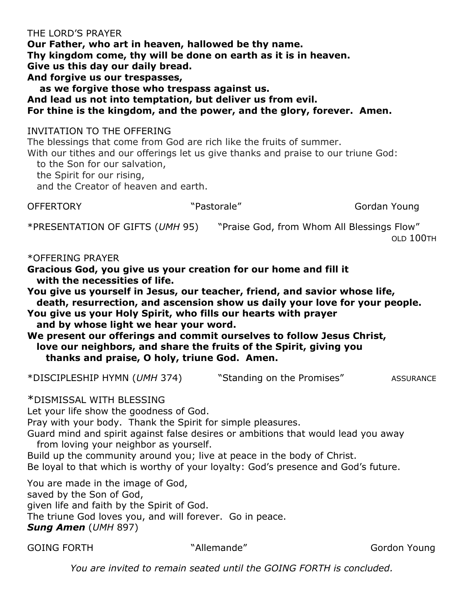#### THE LORD'S PRAYER

**Our Father, who art in heaven, hallowed be thy name. Thy kingdom come, thy will be done on earth as it is in heaven. Give us this day our daily bread. And forgive us our trespasses, as we forgive those who trespass against us.**

**And lead us not into temptation, but deliver us from evil.**

**For thine is the kingdom, and the power, and the glory, forever. Amen.**

### INVITATION TO THE OFFERING

The blessings that come from God are rich like the fruits of summer.

With our tithes and our offerings let us give thanks and praise to our triune God:

to the Son for our salvation,

the Spirit for our rising,

and the Creator of heaven and earth.

OFFERTORY "Pastorale" National Property Service Cordan Young

\*PRESENTATION OF GIFTS (*UMH* 95) "Praise God, from Whom All Blessings Flow"

OLD 100TH

\*OFFERING PRAYER

**Gracious God, you give us your creation for our home and fill it with the necessities of life.** 

**You give us yourself in Jesus, our teacher, friend, and savior whose life, death, resurrection, and ascension show us daily your love for your people.**

**You give us your Holy Spirit, who fills our hearts with prayer and by whose light we hear your word.**

**We present our offerings and commit ourselves to follow Jesus Christ, love our neighbors, and share the fruits of the Spirit, giving you thanks and praise, O holy, triune God. Amen.**

\*DISCIPLESHIP HYMN (*UMH* 374) "Standing on the Promises" ASSURANCE

#### \*DISMISSAL WITH BLESSING

Let your life show the goodness of God.

Pray with your body. Thank the Spirit for simple pleasures.

Guard mind and spirit against false desires or ambitions that would lead you away from loving your neighbor as yourself.

Build up the community around you; live at peace in the body of Christ.

Be loyal to that which is worthy of your loyalty: God's presence and God's future.

You are made in the image of God, saved by the Son of God, given life and faith by the Spirit of God. The triune God loves you, and will forever. Go in peace. *Sung Amen* (*UMH* 897)

GOING FORTH **The Contract of Contract Contract Contract Contract Contract Contract Contract Contract Contract Contract Contract Contract Contract Contract Contract Contract Contract Contract Contract Contract Contract Cont** 

*You are invited to remain seated until the GOING FORTH is concluded.*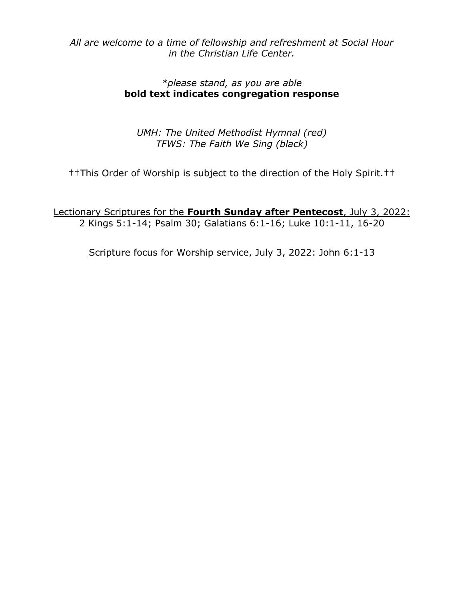*All are welcome to a time of fellowship and refreshment at Social Hour in the Christian Life Center.* 

### *\*please stand, as you are able* **bold text indicates congregation response**

*UMH: The United Methodist Hymnal (red) TFWS: The Faith We Sing (black)*

††This Order of Worship is subject to the direction of the Holy Spirit.††

Lectionary Scriptures for the **Fourth Sunday after Pentecost**, July 3, 2022: 2 Kings 5:1-14; Psalm 30; Galatians 6:1-16; Luke 10:1-11, 16-20

Scripture focus for Worship service, July 3, 2022: John 6:1-13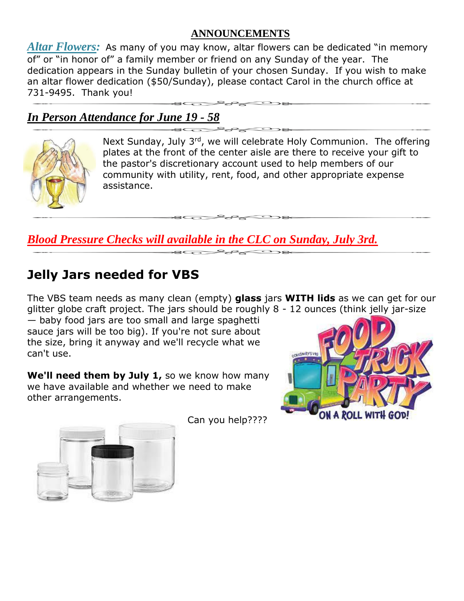### **ANNOUNCEMENTS**

*Altar Flowers:* As many of you may know, altar flowers can be dedicated "in memory of" or "in honor of" a family member or friend on any Sunday of the year. The dedication appears in the Sunday bulletin of your chosen Sunday. If you wish to make an altar flower dedication (\$50/Sunday), please contact Carol in the church office at 731-9495. Thank you!

## *In Person Attendance for June 19 - 58*



Next Sunday, July 3<sup>rd</sup>, we will celebrate Holy Communion. The offering plates at the front of the center aisle are there to receive your gift to the pastor's discretionary account used to help members of our community with utility, rent, food, and other appropriate expense assistance.

*Blood Pressure Checks will available in the CLC on Sunday, July 3rd.*

## **Jelly Jars needed for VBS**

The VBS team needs as many clean (empty) **glass** jars **WITH lids** as we can get for our glitter globe craft project. The jars should be roughly 8 - 12 ounces (think jelly jar-size

— baby food jars are too small and large spaghetti sauce jars will be too big). If you're not sure about the size, bring it anyway and we'll recycle what we can't use.

**We'll need them by July 1,** so we know how many we have available and whether we need to make other arrangements.





Can you help????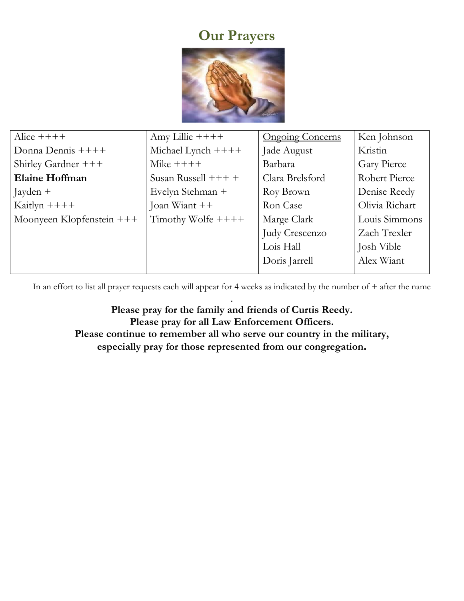# **Our Prayers**



| Alice $+++++$             | Amy Lillie $++++$     | <b>Ongoing Concerns</b> | Ken Johnson    |
|---------------------------|-----------------------|-------------------------|----------------|
| Donna Dennis $++++$       | Michael Lynch $+++$   | Jade August             | Kristin        |
| Shirley Gardner $+++$     | Mike $+++++$          | Barbara                 | Gary Pierce    |
| <b>Elaine Hoffman</b>     | Susan Russell $+++$ + | Clara Brelsford         | Robert Pierce  |
| Jayden +                  | Evelyn Stehman +      | Roy Brown               | Denise Reedy   |
| Kaitlyn $+++$             | Joan Wiant $++$       | Ron Case                | Olivia Richart |
| Moonyeen Klopfenstein +++ | Timothy Wolfe $++++$  | Marge Clark             | Louis Simmons  |
|                           |                       | Judy Crescenzo          | Zach Trexler   |
|                           |                       | Lois Hall               | Josh Vible     |
|                           |                       | Doris Jarrell           | Alex Wiant     |
|                           |                       |                         |                |

In an effort to list all prayer requests each will appear for 4 weeks as indicated by the number of + after the name

. **Please pray for the family and friends of Curtis Reedy. Please pray for all Law Enforcement Officers. Please continue to remember all who serve our country in the military, especially pray for those represented from our congregation.**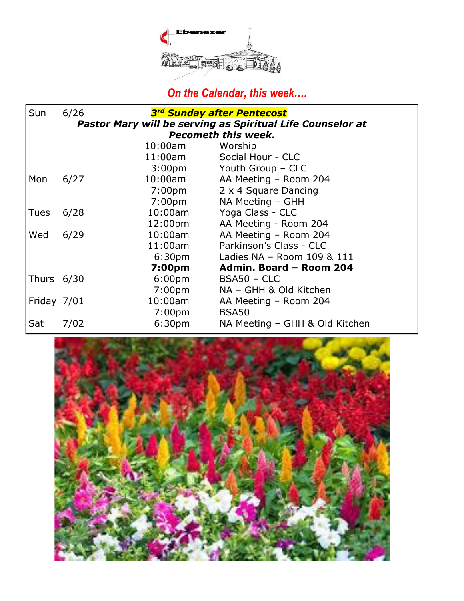

# *On the Calendar, this week….*

| Sun                                                               | 6/26 |                    | 3rd Sunday after Pentecost     |  |  |
|-------------------------------------------------------------------|------|--------------------|--------------------------------|--|--|
| <b>Pastor Mary will be serving as Spiritual Life Counselor at</b> |      |                    |                                |  |  |
| <b>Pecometh this week.</b>                                        |      |                    |                                |  |  |
|                                                                   |      | $10:00$ am         | Worship                        |  |  |
|                                                                   |      | 11:00am            | Social Hour - CLC              |  |  |
|                                                                   |      | 3:00 <sub>pm</sub> | Youth Group - CLC              |  |  |
| Mon                                                               | 6/27 | 10:00am            | AA Meeting - Room 204          |  |  |
|                                                                   |      | 7:00 <sub>pm</sub> | 2 x 4 Square Dancing           |  |  |
|                                                                   |      | 7:00pm             | NA Meeting - GHH               |  |  |
| <b>Tues</b>                                                       | 6/28 | $10:00$ am         | Yoga Class - CLC               |  |  |
|                                                                   |      | 12:00pm            | AA Meeting - Room 204          |  |  |
| Wed                                                               | 6/29 | $10:00$ am         | AA Meeting - Room 204          |  |  |
|                                                                   |      | 11:00am            | Parkinson's Class - CLC        |  |  |
|                                                                   |      | 6:30 <sub>pm</sub> | Ladies NA - Room 109 & 111     |  |  |
|                                                                   |      | 7:00pm             | Admin. Board - Room 204        |  |  |
| Thurs $6/30$                                                      |      | 6:00 <sub>pm</sub> | $BSA50 - CLC$                  |  |  |
|                                                                   |      | 7:00 <sub>pm</sub> | NA - GHH & Old Kitchen         |  |  |
| Friday 7/01                                                       |      | $10:00$ am         | AA Meeting - Room 204          |  |  |
|                                                                   |      | 7:00 <sub>pm</sub> | BSA50                          |  |  |
| Sat                                                               | 7/02 | 6:30 <sub>pm</sub> | NA Meeting - GHH & Old Kitchen |  |  |